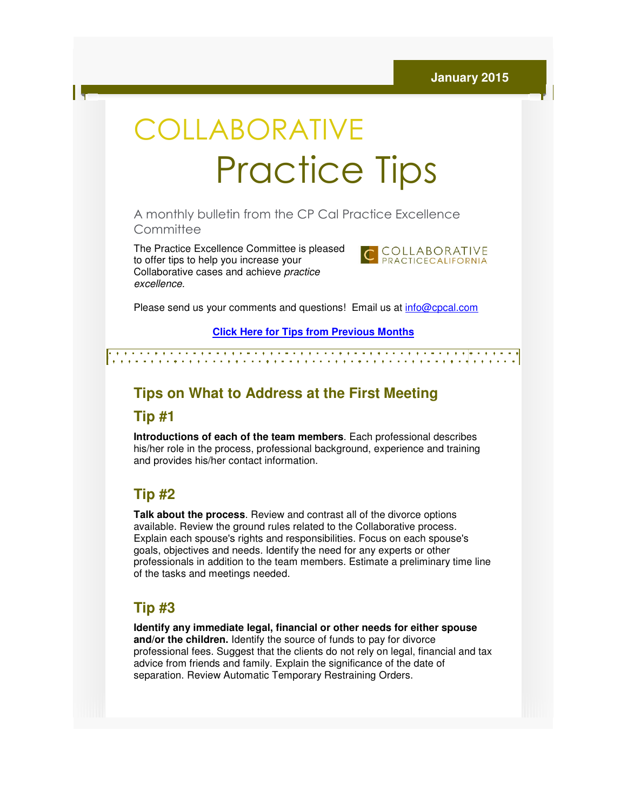# **COLLABORATIVE** Practice Practice Tips

A monthly bulletin from the CP Cal Practice Excellence CP Cal **Committee** 

The Practice Excellence Committee is pleased to offer tips to help you increase your The Practice Excellence Committee is ple<br>to offer tips to help you increase your<br>Collaborative cases and achieve *practice* excellence.



Please send us your comments and questions! Email us at *info@cpcal.com* 

**Click Here f for Tips from Previous Months**

# **Tips on What to Address at the First Meeting**

#### **Tip #1**

**Introductions of each of the team members**. Each professional describes his/her role in the process, professional background, experience and training and provides his/her contact information.

## **Tip #2**

**Talk about the process**. Review and contrast all of the divorce options available. Review the ground rules related to the Collaborative process. Explain each spouse's rights and responsibilities. Focus on each spouse's goals, objectives and needs. Identify the need for any exper professionals in addition to the team members. Estimate a preliminary time line of the tasks and meetings needed. available. Review the ground rules related to the Collaborative process<br>Explain each spouse's rights and responsibilities. Focus on each spous<br>goals, objectives and needs. Identify the need for any experts or other

## **Tip #3**

**Identify any immediate legal, financial or other needs for either spouse and/or the children.** Identify the source of funds to pay for divorce **and/or the children.** Identify the source of funds to pay for divorce<br>professional fees. Suggest that the clients do not rely on legal, financial and tax advice from friends and family. Explain the significance of the date of separation. Review Automatic Temporary Restraining Orders.